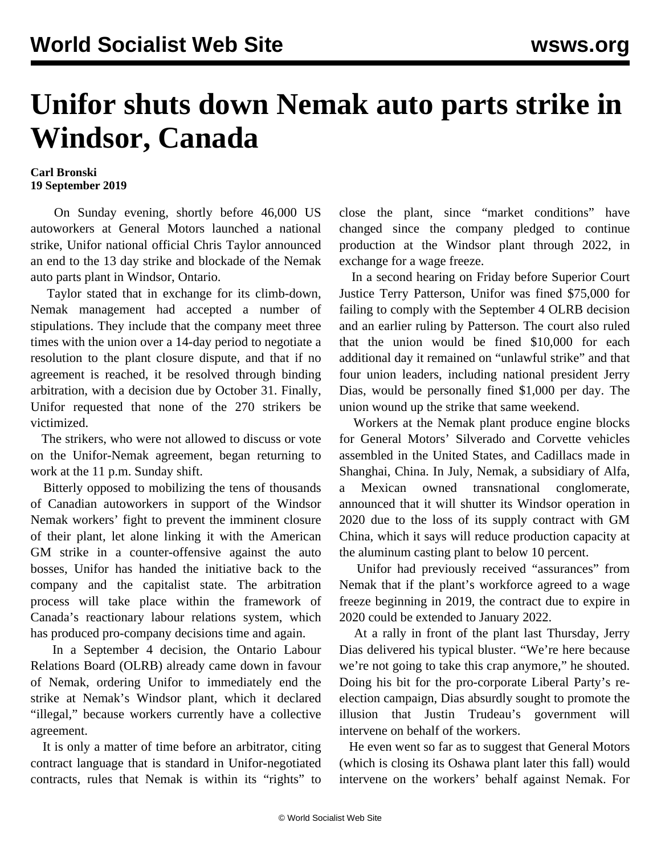## **Unifor shuts down Nemak auto parts strike in Windsor, Canada**

## **Carl Bronski 19 September 2019**

 On Sunday evening, shortly before 46,000 US autoworkers at General Motors launched a national strike, Unifor national official Chris Taylor announced an end to the 13 day strike and blockade of the Nemak auto parts plant in Windsor, Ontario.

 Taylor stated that in exchange for its climb-down, Nemak management had accepted a number of stipulations. They include that the company meet three times with the union over a 14-day period to negotiate a resolution to the plant closure dispute, and that if no agreement is reached, it be resolved through binding arbitration, with a decision due by October 31. Finally, Unifor requested that none of the 270 strikers be victimized.

 The strikers, who were not allowed to discuss or vote on the Unifor-Nemak agreement, began returning to work at the 11 p.m. Sunday shift.

 Bitterly opposed to mobilizing the tens of thousands of Canadian autoworkers in support of the Windsor Nemak workers' fight to prevent the imminent closure of their plant, let alone linking it with the American GM strike in a counter-offensive against the auto bosses, Unifor has handed the initiative back to the company and the capitalist state. The arbitration process will take place within the framework of Canada's reactionary labour relations system, which has produced pro-company decisions time and again.

 In a September 4 decision, the Ontario Labour Relations Board (OLRB) already came down in favour of Nemak, ordering Unifor to immediately end the strike at Nemak's Windsor plant, which it declared "illegal," because workers currently have a collective agreement.

 It is only a matter of time before an arbitrator, citing contract language that is standard in Unifor-negotiated contracts, rules that Nemak is within its "rights" to close the plant, since "market conditions" have changed since the company pledged to continue production at the Windsor plant through 2022, in exchange for a wage freeze.

 In a second hearing on Friday before Superior Court Justice Terry Patterson, Unifor was fined \$75,000 for failing to comply with the September 4 OLRB decision and an earlier ruling by Patterson. The court also ruled that the union would be fined \$10,000 for each additional day it remained on "unlawful strike" and that four union leaders, including national president Jerry Dias, would be personally fined \$1,000 per day. The union wound up the strike that same weekend.

 Workers at the Nemak plant produce engine blocks for General Motors' Silverado and Corvette vehicles assembled in the United States, and Cadillacs made in Shanghai, China. In July, Nemak, a subsidiary of Alfa, a Mexican owned transnational conglomerate, announced that it will shutter its Windsor operation in 2020 due to the loss of its supply contract with GM China, which it says will reduce production capacity at the aluminum casting plant to below 10 percent.

 Unifor had previously received "assurances" from Nemak that if the plant's workforce agreed to a wage freeze beginning in 2019, the contract due to expire in 2020 could be extended to January 2022.

 At a rally in front of the plant last Thursday, Jerry Dias delivered his typical bluster. "We're here because we're not going to take this crap anymore," he shouted. Doing his bit for the pro-corporate Liberal Party's reelection campaign, Dias absurdly sought to promote the illusion that Justin Trudeau's government will intervene on behalf of the workers.

 He even went so far as to suggest that General Motors (which is closing its Oshawa plant later this fall) would intervene on the workers' behalf against Nemak. For